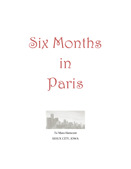# Six Months in Daris



Ta`Mara Hanscom SIOUX CITY, IOWA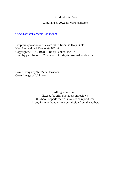## Six Months in Paris

# Copyright © 2022 Ta`Mara Hanscom

## [www.TaMaraHanscomBooks.com](http://www.tamarahanscombooks.com/)

Scripture quotations (NIV) are taken from the Holy Bible, New International Version®, NIV ® Copyright © 1973, 1978, 1984 by Biblica, Inc. ™ Used by permission of Zondervan. All rights reserved worldwide.

Cover Design by Ta`Mara Hanscom Cover Image by Unknown

> All rights reserved. Except for brief quotations in reviews, this book or parts thereof may not be reproduced in any form without written permission from the author.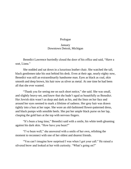### Prologue

### **January** Downtown Detroit, Michigan

Benedict Lawrence hurriedly closed the door of his office and said, "Have a seat, Liana."

She nodded and sat down in a luxurious leather chair. She watched the tall, black gentlemen take his seat behind his desk. Even at their age, nearly eighty now, Benedict was still an extraordinarily handsome man. Eyes as black as coal, skin smooth and deep brown, his hair now as silver as metal. At one time he had been all that she ever wanted.

"Thank you for seeing me on such short notice," she said. She was small, and slightly heavy-set, and knew that she hadn't aged as beautifully as Benedict. Her Jewish skin wasn't as deep and dark as his, and the lines on her face and around her eyes seemed to mark a lifetime of sadness. Her grey hair was drawn tightly into a bun at her nape. She wore an old-fashioned flower-patterned dress, and black pumps with sensible heels. She put her ample black purse on her lap, clasping the gold bars at the top with nervous fingers.

"It's been a long time," Benedict said with a smile, his white teeth gleaming against his dark skin. "How have you been?"

"I've been well," she answered with a smile of her own, relishing the moment to reconnect with one of her oldest and dearest friends.

"You can't imagine how surprised I was when I got your call." He raised a silvered brow and looked at her with curiosity. "What's going on?"